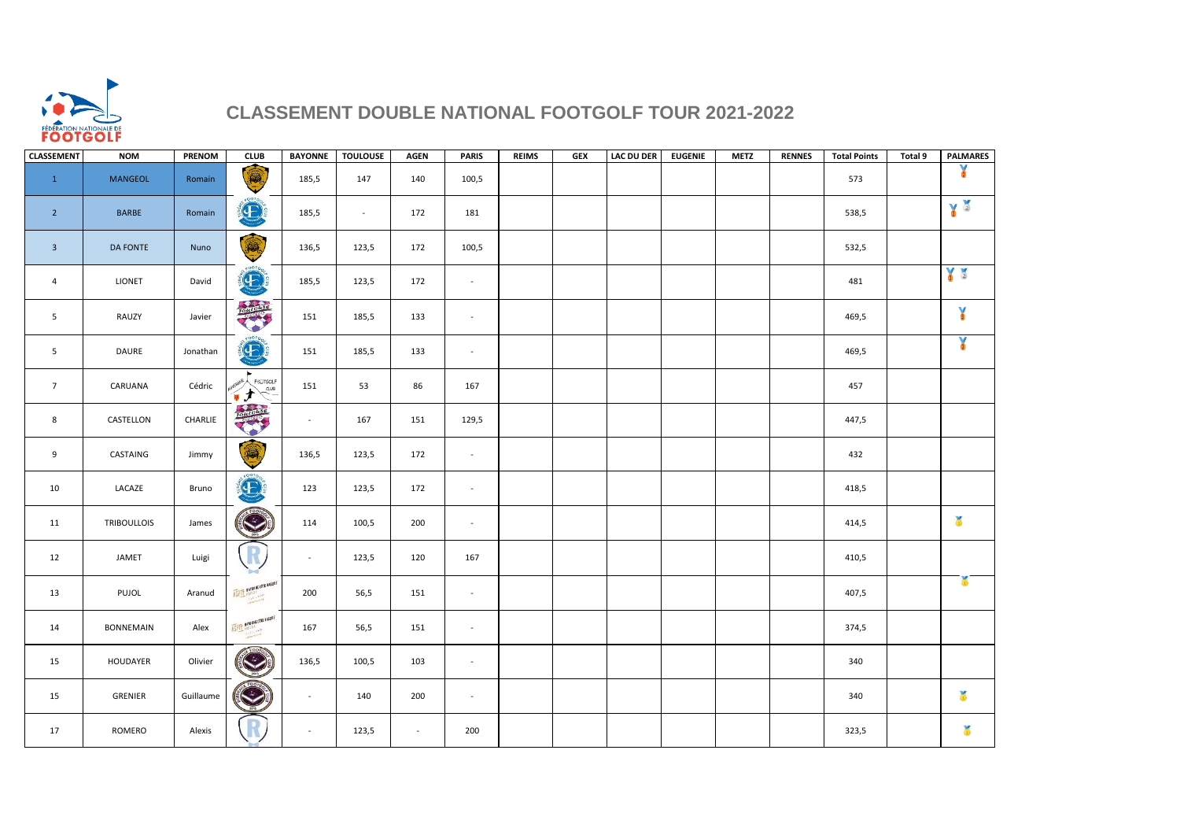

## **CLASSEMENT DOUBLE NATIONAL FOOTGOLF TOUR 2021-2022**

| <b>CLASSEMENT</b>       | <b>NOM</b>         | PRENOM    | <b>CLUB</b>                             | <b>BAYONNE</b> | <b>TOULOUSE</b> | <b>AGEN</b> | <b>PARIS</b>                | <b>REIMS</b> | <b>GEX</b> | <b>LAC DU DER</b> | <b>EUGENIE</b> | <b>METZ</b> | <b>RENNES</b> | <b>Total Points</b> | Total 9 | <b>PALMARES</b> |
|-------------------------|--------------------|-----------|-----------------------------------------|----------------|-----------------|-------------|-----------------------------|--------------|------------|-------------------|----------------|-------------|---------------|---------------------|---------|-----------------|
| $\mathbf{1}$            | <b>MANGEOL</b>     | Romain    | (                                       | 185,5          | 147             | 140         | 100,5                       |              |            |                   |                |             |               | 573                 |         | ¥               |
| $\overline{2}$          | <b>BARBE</b>       | Romain    | 600T <sub>0</sub><br>$\bigoplus$        | 185,5          | $\sim$          | 172         | 181                         |              |            |                   |                |             |               | 538,5               |         | Y               |
| $\overline{\mathbf{3}}$ | <b>DA FONTE</b>    | Nuno      | 1                                       | 136,5          | 123,5           | 172         | 100,5                       |              |            |                   |                |             |               | 532,5               |         |                 |
| $\overline{4}$          | <b>LIONET</b>      | David     | E                                       | 185,5          | 123,5           | 172         | $\mathcal{L}_{\mathcal{A}}$ |              |            |                   |                |             |               | 481                 |         | Y               |
| 5                       | RAUZY              | Javier    | pointendist                             | 151            | 185,5           | 133         | $\sim$                      |              |            |                   |                |             |               | 469,5               |         | $\mathbf{X}$    |
| 5                       | DAURE              | Jonathan  | $\left( 1 \right)$                      | 151            | 185,5           | 133         | $\mathcal{L}_{\mathcal{A}}$ |              |            |                   |                |             |               | 469,5               |         | ¥               |
| $\overline{7}$          | CARUANA            | Cédric    | <b>FIGUTGOLF</b><br>$\sqrt{2\pi}$<br>てナ | 151            | 53              | 86          | 167                         |              |            |                   |                |             |               | 457                 |         |                 |
| 8                       | CASTELLON          | CHARLIE   | <b>Report</b>                           | $\sim$         | 167             | 151         | 129,5                       |              |            |                   |                |             |               | 447,5               |         |                 |
| 9                       | CASTAING           | Jimmy     | Q                                       | 136,5          | 123,5           | 172         | $\mathcal{L}_{\mathcal{A}}$ |              |            |                   |                |             |               | 432                 |         |                 |
| 10                      | LACAZE             | Bruno     | $\bigoplus$                             | 123            | 123,5           | 172         | $\mathcal{L}_{\mathcal{A}}$ |              |            |                   |                |             |               | 418,5               |         |                 |
| 11                      | <b>TRIBOULLOIS</b> | James     | $\bigodot$                              | 114            | 100,5           | 200         | $\mathcal{L}_{\mathcal{A}}$ |              |            |                   |                |             |               | 414,5               |         | ò               |
| 12                      | JAMET              | Luigi     |                                         | $\sim$         | 123,5           | 120         | 167                         |              |            |                   |                |             |               | 410,5               |         |                 |
| 13                      | PUJOL              | Aranud    | ASPIT BAYONNE COTE BASRUE               | 200            | 56,5            | 151         | $\sim$                      |              |            |                   |                |             |               | 407,5               |         | ð               |
| 14                      | <b>BONNEMAIN</b>   | Alex      | ASPIT BAYONNE COTE BASRUE               | 167            | 56,5            | 151         | $\mathcal{L}_{\mathcal{A}}$ |              |            |                   |                |             |               | 374,5               |         |                 |
| 15                      | <b>HOUDAYER</b>    | Olivier   | $\bigodot$                              | 136,5          | 100,5           | 103         | $\sim$                      |              |            |                   |                |             |               | 340                 |         |                 |
| 15                      | GRENIER            | Guillaume | $\bigcirc$                              | $\sim$         | 140             | 200         | $\sim$                      |              |            |                   |                |             |               | 340                 |         | ð               |
| 17                      | ROMERO             | Alexis    |                                         | $\sim$         | 123,5           | $\sim$      | 200                         |              |            |                   |                |             |               | 323,5               |         | G.              |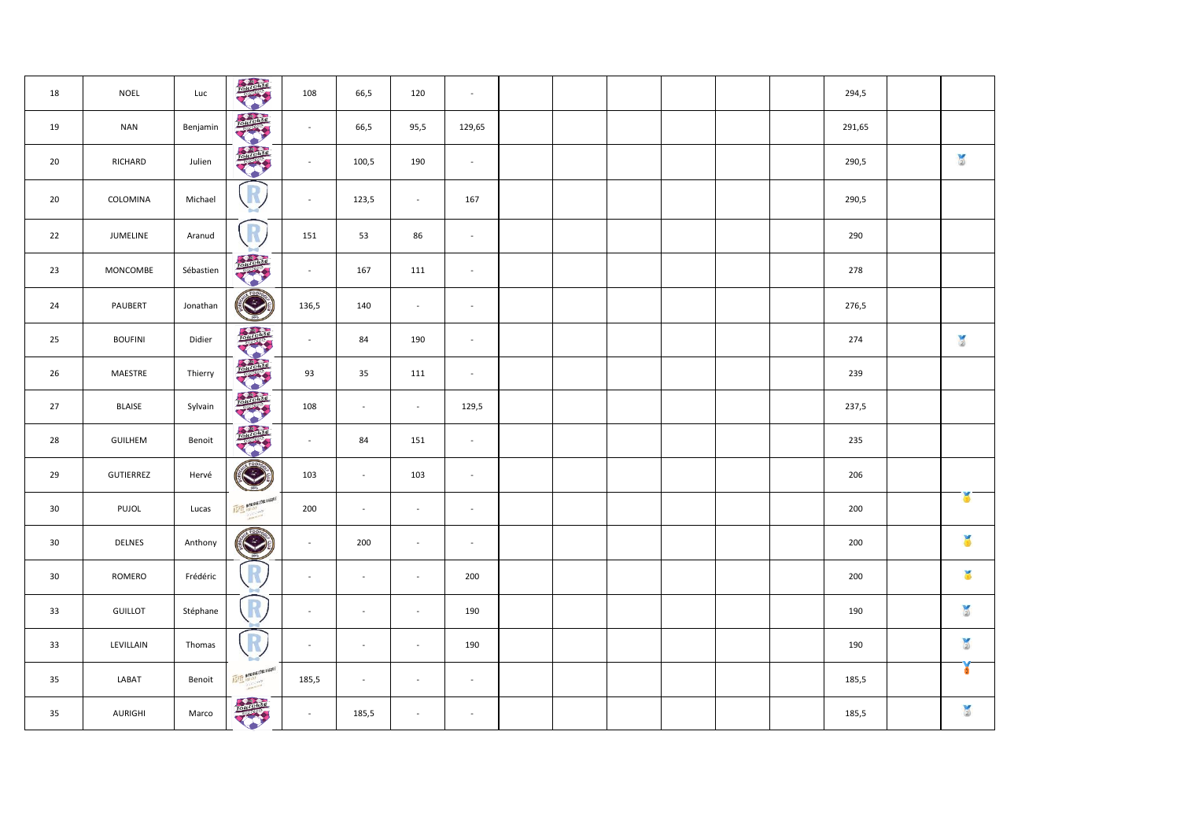| 18              | <b>NOEL</b>    | Luc       | TOUTOURSE                 | 108      | 66,5           | 120                         | $\sim$                      |  |  |  | 294,5  |               |
|-----------------|----------------|-----------|---------------------------|----------|----------------|-----------------------------|-----------------------------|--|--|--|--------|---------------|
| 19              | <b>NAN</b>     | Benjamin  | <b>Indiana</b>            | $\sim$   | 66,5           | 95,5                        | 129,65                      |  |  |  | 291,65 |               |
| 20              | RICHARD        | Julien    | <b>Report</b>             | $\omega$ | 100,5          | 190                         | $\sim$                      |  |  |  | 290,5  | $\frac{1}{2}$ |
| 20              | COLOMINA       | Michael   |                           | $\omega$ | 123,5          | $\mathcal{L}_{\mathcal{C}}$ | 167                         |  |  |  | 290,5  |               |
| 22              | JUMELINE       | Aranud    | R                         | 151      | 53             | 86                          | $\mathcal{L}_{\mathcal{A}}$ |  |  |  | 290    |               |
| 23              | MONCOMBE       | Sébastien | <b>CALCULE</b>            | $\sim$   | 167            | 111                         | $\sim$                      |  |  |  | 278    |               |
| 24              | PAUBERT        | Jonathan  | $\bigcirc$                | 136,5    | 140            | $\sim$                      | $\blacksquare$              |  |  |  | 276,5  |               |
| 25              | <b>BOUFINI</b> | Didier    | <b>Registration</b>       | $\sim$   | 84             | 190                         | $\sim$                      |  |  |  | 274    | $\frac{1}{2}$ |
| 26              | MAESTRE        | Thierry   | <b>Report</b>             | 93       | 35             | 111                         | $\blacksquare$              |  |  |  | 239    |               |
| 27              | BLAISE         | Sylvain   | portal                    | 108      | $\sim$         | $\sim$                      | 129,5                       |  |  |  | 237,5  |               |
| 28              | GUILHEM        | Benoit    | <b>CONTROL</b>            | $\sim$   | 84             | 151                         | $\sim$                      |  |  |  | 235    |               |
| 29              | GUTIERREZ      | Hervé     | ৻                         | 103      | $\sim$         | 103                         | $\mathcal{L}$               |  |  |  | 206    |               |
| 30              | PUJOL          | Lucas     | ASPIT NATURINE COTE NAS   | 200      | $\sim$         | $\sim$                      | $\sim$                      |  |  |  | 200    | ¥             |
| 30 <sub>o</sub> | DELNES         | Anthony   | $\left(\rightarrow$       | $\omega$ | 200            | $\sim$                      | $\bar{\mathbf{z}}$          |  |  |  | 200    | ă             |
| 30 <sub>o</sub> | ROMERO         | Frédéric  |                           | $\sim$   | $\blacksquare$ | $\sim$                      | 200                         |  |  |  | 200    | ŏ             |
| 33              | <b>GUILLOT</b> | Stéphane  | R                         | $\sim$   | $\blacksquare$ | $\sim$                      | 190                         |  |  |  | 190    | $\frac{1}{2}$ |
| 33              | LEVILLAIN      | Thomas    | R                         | $\sim$   | $\blacksquare$ | $\sim$                      | 190                         |  |  |  | 190    | $\frac{1}{2}$ |
| 35              | LABAT          | Benoit    | ASPIT BAYONNE (OTE BASQUE | 185,5    | $\blacksquare$ | $\sim$                      | $\sim$                      |  |  |  | 185,5  | ¥             |
| 35              | AURIGHI        | Marco     | TOUTOUSE<br>۰             | $\sim$   | 185,5          | $\sim$                      | $\blacksquare$              |  |  |  | 185,5  | $\frac{1}{2}$ |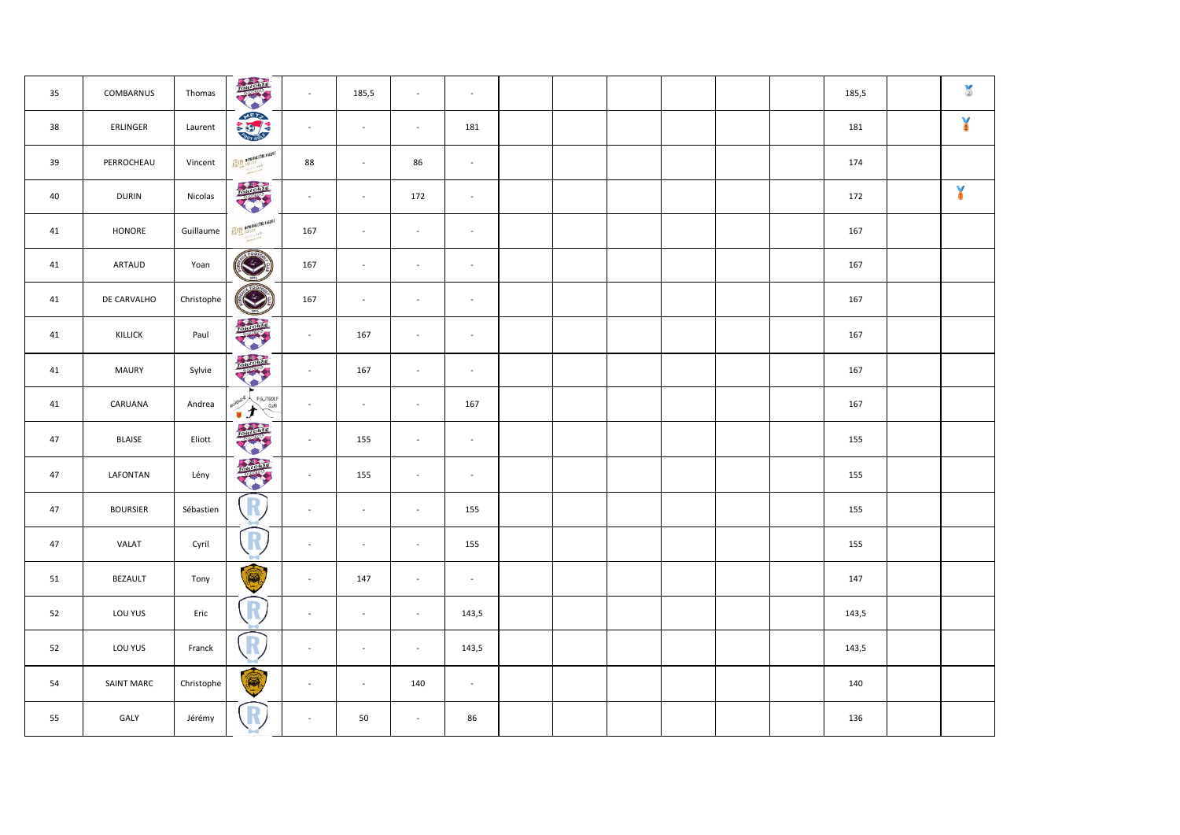| 35 | COMBARNUS       | Thomas     | <b>RATIONAL</b>                              | $\omega$                 | 185,5                    | $\omega$       | $\sim$                   |  |  |  | 185,5 | $\frac{1}{2}$ |
|----|-----------------|------------|----------------------------------------------|--------------------------|--------------------------|----------------|--------------------------|--|--|--|-------|---------------|
| 38 | ERLINGER        | Laurent    | <b>METS</b>                                  | $\sim$                   | $\blacksquare$           | $\sim$         | 181                      |  |  |  | 181   | ¥             |
| 39 | PERROCHEAU      | Vincent    | ASPIT BAYORDE COTE BASDUE                    | 88                       | $\sim$                   | 86             | $\sim$                   |  |  |  | 174   |               |
| 40 | <b>DURIN</b>    | Nicolas    | <b>TOTOLOGIC</b>                             | $\omega$                 | $\sim$                   | 172            | $\omega$                 |  |  |  | 172   | ¥             |
| 41 | HONORE          | Guillaume  | <b>ASPIT BAYONNE COTE BASQUE</b>             | 167                      | $\sim$                   | $\sim$         | $\sim$                   |  |  |  | 167   |               |
| 41 | ARTAUD          | Yoan       | $\bigcirc$                                   | 167                      | $\sim$                   | $\sim$         | $\sim$                   |  |  |  | 167   |               |
| 41 | DE CARVALHO     | Christophe | $\bigotimes$                                 | 167                      | $\sim$                   | $\blacksquare$ | $\blacksquare$           |  |  |  | 167   |               |
| 41 | KILLICK         | Paul       | <b>Reported</b>                              | $\omega$                 | 167                      | $\sim$         | $\mathbb{Z}$             |  |  |  | 167   |               |
| 41 | MAURY           | Sylvie     | <b>TOMOGRAP</b>                              | $\sim$                   | 167                      | $\sim$         | $\blacksquare$           |  |  |  | 167   |               |
| 41 | CARUANA         | Andrea     | <b>FIGUTGOLF</b><br>$\overline{a}$ us<br>しょう | $\overline{\phantom{a}}$ | $\sim$                   | $\sim$         | 167                      |  |  |  | 167   |               |
| 47 | <b>BLAISE</b>   | Eliott     | <b>TOTOLOGIC</b>                             | $\omega$                 | 155                      | $\sim$         | $\overline{\phantom{a}}$ |  |  |  | 155   |               |
| 47 | LAFONTAN        | Lény       | <b>CONCORD</b>                               | $\omega$                 | 155                      | $\sim$         | $\overline{\phantom{a}}$ |  |  |  | 155   |               |
| 47 | <b>BOURSIER</b> | Sébastien  | R                                            | $\Box$                   | $\sim$                   | $\sim$         | 155                      |  |  |  | 155   |               |
| 47 | VALAT           | Cyril      | R                                            | $\blacksquare$           | $\sim$                   | $\blacksquare$ | 155                      |  |  |  | 155   |               |
| 51 | BEZAULT         | Tony       | Q                                            | $\omega$                 | 147                      | $\sim$         | $\sim$                   |  |  |  | 147   |               |
| 52 | LOU YUS         | Eric       | R                                            | $\blacksquare$           | $\overline{\phantom{a}}$ | $\sim$         | 143,5                    |  |  |  | 143,5 |               |
| 52 | LOU YUS         | Franck     | R                                            | $\sim$                   | $\overline{\phantom{a}}$ | $\sim$         | 143,5                    |  |  |  | 143,5 |               |
| 54 | SAINT MARC      | Christophe | <b>R</b>                                     | $\sim$                   | $\overline{\phantom{a}}$ | 140            | $\omega$                 |  |  |  | 140   |               |
| 55 | GALY            | Jérémy     | R                                            | $\blacksquare$           | 50                       | $\sim$         | 86                       |  |  |  | 136   |               |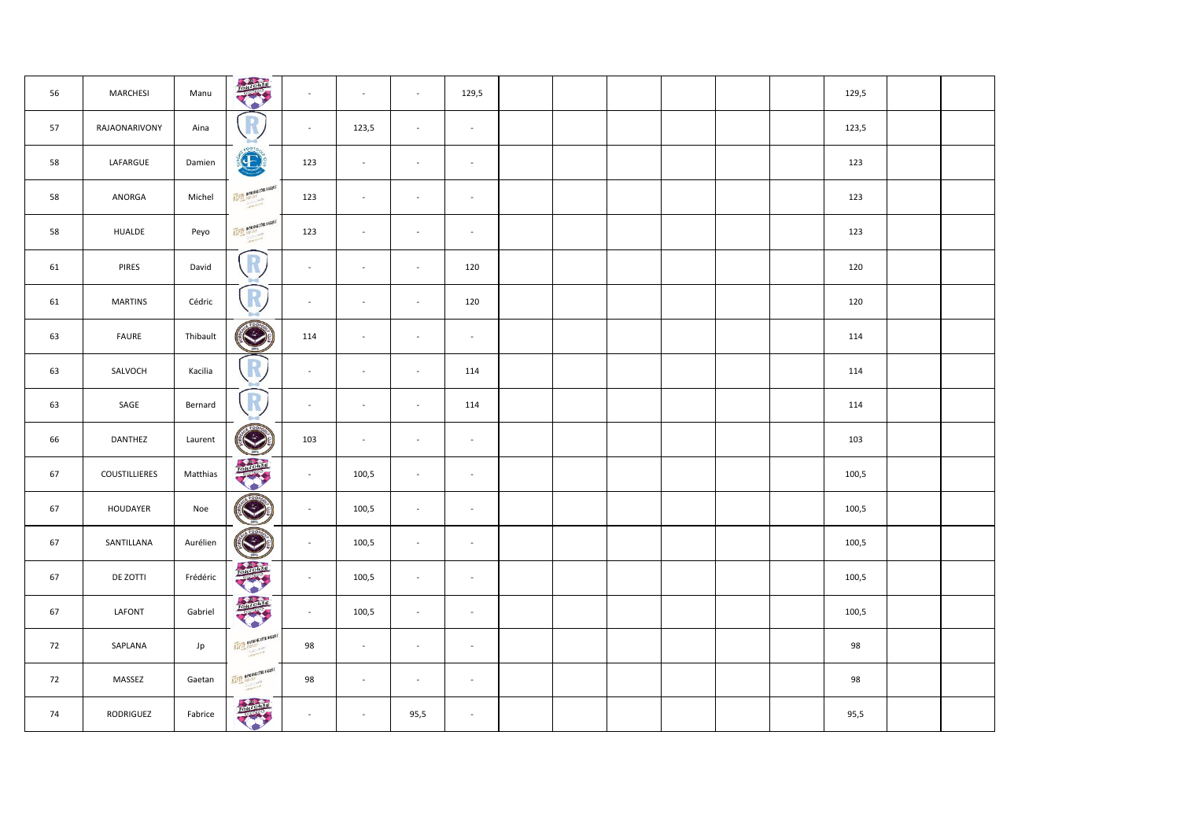| 56 | MARCHESI       | Manu     | <b>Report</b><br>۰         | $\sim$                      | $\sim$ | $\sim$                      | 129,5                       |  |  |  | 129,5 |  |  |
|----|----------------|----------|----------------------------|-----------------------------|--------|-----------------------------|-----------------------------|--|--|--|-------|--|--|
| 57 | RAJAONARIVONY  | Aina     | D                          | $\sim$                      | 123,5  | $\mathcal{L}_{\mathcal{C}}$ | $\overline{\phantom{a}}$    |  |  |  | 123,5 |  |  |
| 58 | LAFARGUE       | Damien   | $\left( 1 - \right)$       | 123                         | $\sim$ | $\sim$                      | $\sim$                      |  |  |  | 123   |  |  |
| 58 | ANORGA         | Michel   | ASPIT RAYONNE COTE RASEN   | 123                         | $\sim$ | $\sim$                      | $\sim$                      |  |  |  | 123   |  |  |
| 58 | HUALDE         | Peyo     | ASPIT BAYONNE COTE BASED   | 123                         | $\sim$ | $\sim$                      | $\blacksquare$              |  |  |  | 123   |  |  |
| 61 | PIRES          | David    | R                          | $\sim$                      | $\sim$ | $\sim$                      | 120                         |  |  |  | 120   |  |  |
| 61 | <b>MARTINS</b> | Cédric   | R                          | $\sim$                      | $\sim$ | $\sim$                      | 120                         |  |  |  | 120   |  |  |
| 63 | FAURE          | Thibault | $\bigodot$                 | 114                         | $\sim$ | $\sim$                      | $\sim$                      |  |  |  | 114   |  |  |
| 63 | SALVOCH        | Kacilia  |                            | $\sim$                      | $\sim$ | $\sim$                      | 114                         |  |  |  | 114   |  |  |
| 63 | SAGE           | Bernard  | R                          | $\sim$                      | $\sim$ | $\sim$                      | 114                         |  |  |  | 114   |  |  |
| 66 | DANTHEZ        | Laurent  | $\bigcirc$                 | 103                         | $\sim$ | $\sim$                      | $\overline{\phantom{a}}$    |  |  |  | 103   |  |  |
| 67 | COUSTILLIERES  | Matthias |                            | $\sim$                      | 100,5  | $\sim$                      | $\sim$                      |  |  |  | 100,5 |  |  |
| 67 | HOUDAYER       | Noe      | FOC<br>S                   | $\sim$                      | 100,5  | $\sim$                      | $\sim$                      |  |  |  | 100,5 |  |  |
| 67 | SANTILLANA     | Aurélien | $\bigotimes$               | $\sim$                      | 100,5  | $\sim$                      | $\sim$                      |  |  |  | 100,5 |  |  |
| 67 | DE ZOTTI       | Frédéric |                            | $\mathcal{L}_{\mathcal{A}}$ | 100,5  | $\mathcal{L}_{\mathcal{C}}$ | $\overline{\phantom{a}}$    |  |  |  | 100,5 |  |  |
| 67 | LAFONT         | Gabriel  | <b>RATIONSO</b>            | $\sim$                      | 100,5  | $\sim$                      | $\blacksquare$              |  |  |  | 100,5 |  |  |
| 72 | SAPLANA        | Jp       | ASPIT BAYONNE COTE BASROL  | 98                          | $\sim$ | $\sim$                      | $\sim$                      |  |  |  | 98    |  |  |
| 72 | MASSEZ         | Gaetan   | ASPIT MAYORINE COTE BASQUE | 98                          | $\sim$ | $\sim$                      | $\mathcal{L}_{\mathcal{A}}$ |  |  |  | 98    |  |  |
| 74 | RODRIGUEZ      | Fabrice  | rotatoras                  |                             | $\sim$ | 95,5                        | $\sim$                      |  |  |  | 95,5  |  |  |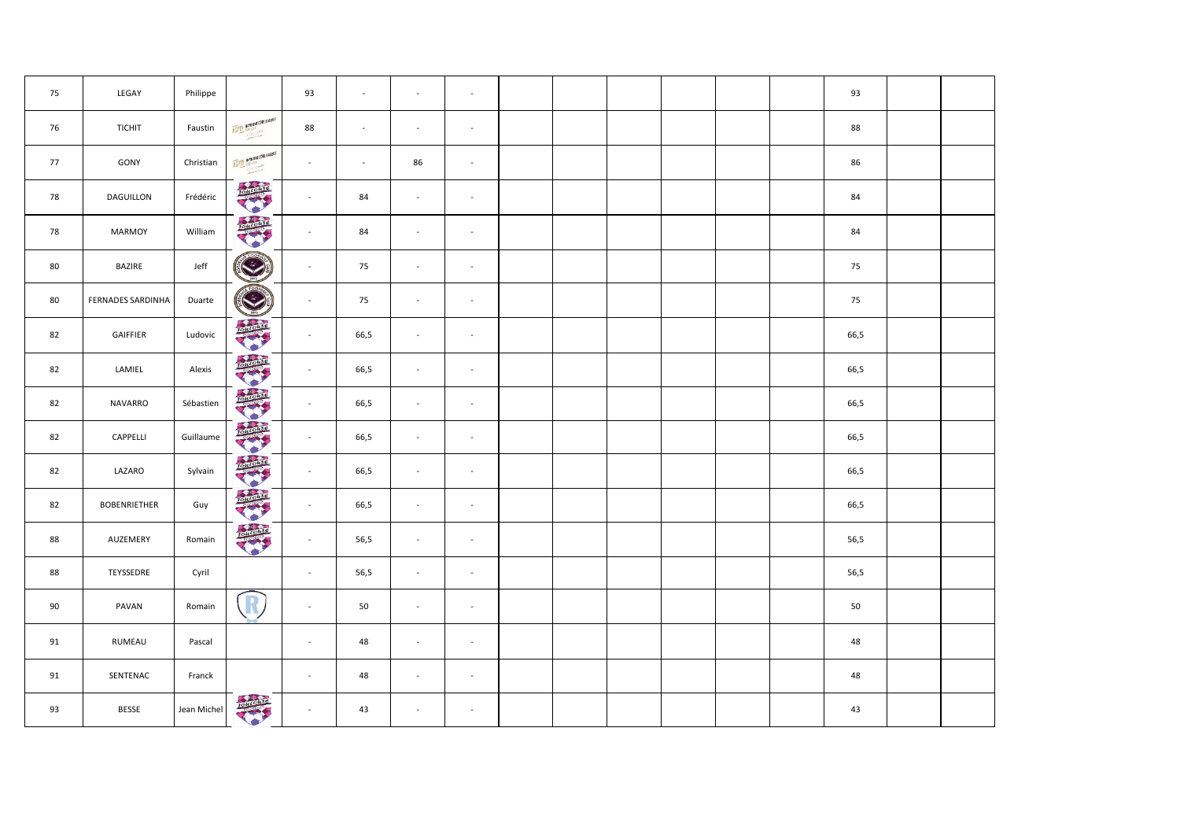| 75 | LEGAY                    | Philippe    |                           | 93             | $\sim$ | $\mathbb{Z}$             | $\sim$                   |  |  |  | 93   |  |
|----|--------------------------|-------------|---------------------------|----------------|--------|--------------------------|--------------------------|--|--|--|------|--|
| 76 | <b>TICHIT</b>            | Faustin     | ASPIT BAYONNE COTE BASRUE | 88             | $\sim$ | $\blacksquare$           | $\sim$                   |  |  |  | 88   |  |
| 77 | GONY                     | Christian   | ASPIT BAYONNE COTE BASROE | $\blacksquare$ | $\sim$ | 86                       | $\sim$                   |  |  |  | 86   |  |
| 78 | DAGUILLON                | Frédéric    | Total Country             | $\blacksquare$ | 84     | $\overline{\phantom{a}}$ | $\sim$                   |  |  |  | 84   |  |
| 78 | MARMOY                   | William     |                           | $\blacksquare$ | 84     | $\sim$                   | $\sim$                   |  |  |  | 84   |  |
| 80 | BAZIRE                   | Jeff        |                           | $\sim$         | 75     | $\blacksquare$           | $\sim$                   |  |  |  | 75   |  |
| 80 | <b>FERNADES SARDINHA</b> | Duarte      | C                         | $\sim$         | 75     | $\blacksquare$           | $\blacksquare$           |  |  |  | 75   |  |
| 82 | GAIFFIER                 | Ludovic     |                           | $\sim$         | 66,5   | $\blacksquare$           | $\sim$                   |  |  |  | 66,5 |  |
| 82 | LAMIEL                   | Alexis      | TOLTLOWS                  | $\sim$         | 66,5   | $\omega$                 | $\sim$                   |  |  |  | 66,5 |  |
| 82 | NAVARRO                  | Sébastien   |                           | $\blacksquare$ | 66,5   | $\omega$                 | $\blacksquare$           |  |  |  | 66,5 |  |
| 82 | CAPPELLI                 | Guillaume   | <b>Report</b>             | $\sim$         | 66,5   | $\omega$                 | $\sim$                   |  |  |  | 66,5 |  |
| 82 | LAZARO                   | Sylvain     | Total office<br>۰         | $\omega$       | 66,5   | $\mathbb{Z}$             | $\blacksquare$           |  |  |  | 66,5 |  |
| 82 | <b>BOBENRIETHER</b>      | Guy         | <b>Report</b>             | $\sim$         | 66,5   | $\overline{\phantom{a}}$ | $\sim$                   |  |  |  | 66,5 |  |
| 88 | AUZEMERY                 | Romain      | <b>CALCULES</b>           | $\omega$       | 56,5   | $\mathbb{Z}$             | $\blacksquare$           |  |  |  | 56,5 |  |
| 88 | TEYSSEDRE                | Cyril       |                           | $\sim$         | 56,5   | $\blacksquare$           | $\overline{\phantom{a}}$ |  |  |  | 56,5 |  |
| 90 | PAVAN                    | Romain      | R                         | $\omega$       | 50     | $\mathbb{Z}$             | $\sim$                   |  |  |  | 50   |  |
| 91 | RUMEAU                   | Pascal      |                           | $\Box$         | 48     | $\mathbb{Z}$             | $\sim$                   |  |  |  | 48   |  |
| 91 | SENTENAC                 | Franck      |                           | $\omega$       | 48     | $\mathbb{Z}$             | $\blacksquare$           |  |  |  | 48   |  |
| 93 | BESSE                    | Jean Michel | zolttottse                | $\bar{a}$      | 43     | $\mathbb{Z}$             | $\sim$                   |  |  |  | 43   |  |